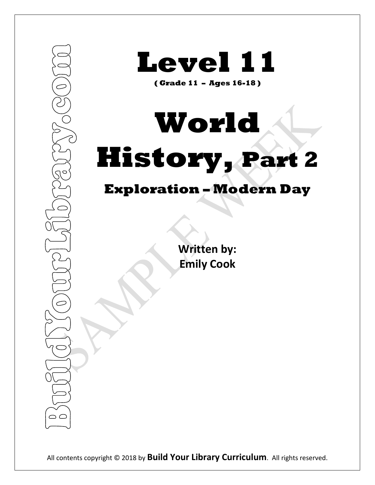

**Level 11**

**( Grade 11 – Ages 16-18 )**

# **World History, Part 2**

## **Exploration – Modern Day**

**Written by: Emily Cook**

All contents copyright © 2018 by **Build Your Library Curriculum**. All rights reserved.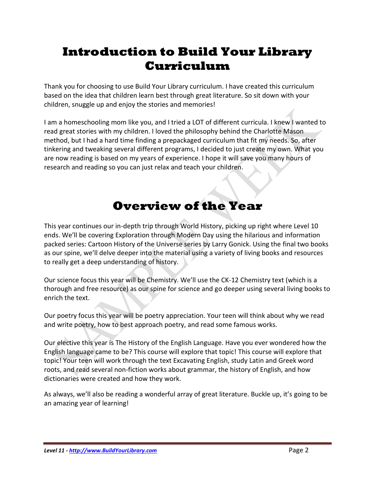## **Introduction to Build Your Library Curriculum**

Thank you for choosing to use Build Your Library curriculum. I have created this curriculum based on the idea that children learn best through great literature. So sit down with your children, snuggle up and enjoy the stories and memories!

I am a homeschooling mom like you, and I tried a LOT of different curricula. I knew I wanted to read great stories with my children. I loved the philosophy behind the Charlotte Mason method, but I had a hard time finding a prepackaged curriculum that fit my needs. So, after tinkering and tweaking several different programs, I decided to just create my own. What you are now reading is based on my years of experience. I hope it will save you many hours of research and reading so you can just relax and teach your children.

## **Overview of the Year**

This year continues our in-depth trip through World History, picking up right where Level 10 ends. We'll be covering Exploration through Modern Day using the hilarious and information packed series: Cartoon History of the Universe series by Larry Gonick. Using the final two books as our spine, we'll delve deeper into the material using a variety of living books and resources to really get a deep understanding of history.

Our science focus this year will be Chemistry. We'll use the CK-12 Chemistry text (which is a thorough and free resource) as our spine for science and go deeper using several living books to enrich the text.

Our poetry focus this year will be poetry appreciation. Your teen will think about why we read and write poetry, how to best approach poetry, and read some famous works.

Our elective this year is The History of the English Language. Have you ever wondered how the English language came to be? This course will explore that topic! This course will explore that topic! Your teen will work through the text Excavating English, study Latin and Greek word roots, and read several non-fiction works about grammar, the history of English, and how dictionaries were created and how they work.

As always, we'll also be reading a wonderful array of great literature. Buckle up, it's going to be an amazing year of learning!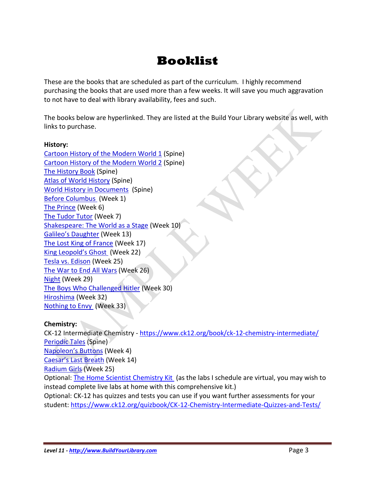## **Booklist**

These are the books that are scheduled as part of the curriculum. I highly recommend purchasing the books that are used more than a few weeks. It will save you much aggravation to not have to deal with library availability, fees and such.

The books below are hyperlinked. They are listed at the Build Your Library website as well, with links to purchase.

### **History:**

[Cartoon History of the Modern World 1](https://amzn.to/2L0RCQc) (Spine) [Cartoon History of the Modern World 2](https://amzn.to/2L4BzxT) (Spine) [The History Book](https://amzn.to/2J7Ok93) (Spine) [Atlas of World History](https://amzn.to/2N1OlOa) (Spine) [World History in Documents](https://amzn.to/2KVYa2B) (Spine) [Before Columbus](https://amzn.to/2N6QurZ) (Week 1) [The Prince](https://amzn.to/2J8XnGM) (Week 6) [The Tudor Tutor](https://amzn.to/2NGowV5) (Week 7) [Shakespeare: The World as a Stage](https://amzn.to/2N3ETtC) (Week 10) [Galileo's Daughter](https://amzn.to/2uaBYIz) (Week 13) [The Lost King of France](https://amzn.to/2L2BQ4o) (Week 17) [King Leopold's Ghost](https://amzn.to/2zrwwWS) (Week 22) [Tesla vs. Edison](https://amzn.to/2u9mXa2) (Week 25) [The War to End All Wars](https://amzn.to/2L6eVVJ) (Week 26) [Night](https://amzn.to/2JbIOSC) (Week 29) [The Boys Who Challenged Hitler](https://amzn.to/2N3Fk7e) (Week 30) [Hiroshima](https://amzn.to/2zqw9Mh) (Week 32) [Nothing to Envy](https://amzn.to/2NERXH2) (Week 33)

### **Chemistry:**

CK-12 Intermediate Chemistry - <https://www.ck12.org/book/ck-12-chemistry-intermediate/> [Periodic Tales](https://amzn.to/2NEVDIE) (Spine) [Napoleon's Buttons](https://amzn.to/2NEVF3e) (Week 4) [Caesar's Last Breath](https://amzn.to/2unQuvI) (Week 14) [Radium Girls](https://amzn.to/2u9rGIw) (Week 25) Optional: [The Home Scientist Chemistry Kit](https://www.thehomescientist.com/ck01b-main.php) (as the labs I schedule are virtual, you may wish to instead complete live labs at home with this comprehensive kit.) Optional: CK-12 has quizzes and tests you can use if you want further assessments for your student:<https://www.ck12.org/quizbook/CK-12-Chemistry-Intermediate-Quizzes-and-Tests/>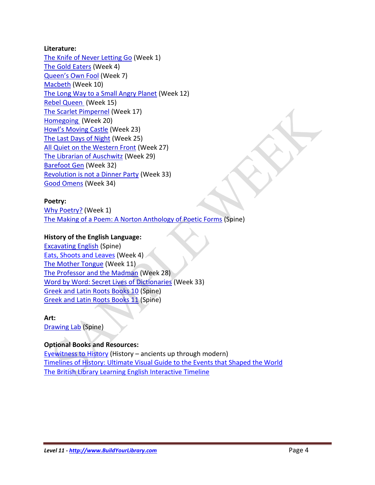### **Literature:**

The Knife of [Never Letting Go](https://amzn.to/2NG8IkV) (Week 1) [The Gold Eaters](https://amzn.to/2NHz1r1) (Week 4) [Queen's Own Fool](https://amzn.to/2L2sci2) (Week 7) [Macbeth](https://amzn.to/2N5eSu2) (Week 10) [The Long Way to a Small Angry Planet](https://amzn.to/2KOrskv) (Week 12) [Rebel Queen](https://amzn.to/2KKLlsX) (Week 15) [The Scarlet Pimpernel](https://amzn.to/2umfkw7) (Week 17) [Homegoing](https://amzn.to/2N5gLXw) (Week 20) [Howl's Moving Castle](https://amzn.to/2L2bpvt) (Week 23) [The Last Days of Night](https://amzn.to/2JcTnoD) (Week 25) [All Quiet on the Western Front](https://amzn.to/2NHQ1gH) (Week 27) [The Librarian of Auschwitz](https://amzn.to/2JaRrwR) (Week 29) [Barefoot Gen](https://amzn.to/2L7lojo) (Week 32) [Revolution is not a Dinner Party](https://amzn.to/2KIRCoK) (Week 33) [Good Omens](https://amzn.to/2N1RvS8) (Week 34)

### **Poetry:**

[Why Poetry?](https://amzn.to/2NH27H8) (Week 1) [The Making of a Poem: A Norton Anthology of Poetic Forms](https://amzn.to/2NCyS8e) (Spine)

### **History of the English Language:**

[Excavating English](https://amzn.to/2L0q8dD) (Spine) [Eats, Shoots and Leaves](https://amzn.to/2PchGqR) (Week 4) [The Mother Tongue](https://amzn.to/2N2CAa8) (Week 11) [The Professor and the Madman](https://amzn.to/2NGiB2k) (Week 28) [Word by Word: Secret Lives of Dictionaries](https://amzn.to/2L2xkTk) (Week 33) [Greek and Latin Roots Books 10](https://amzn.to/2KW5aMV) (Spine) [Greek and Latin Roots Books 11](https://amzn.to/2N4bcsd) (Spine)

## **Art:**

[Drawing Lab](https://amzn.to/2u9t2mS) (Spine)

### **Optional Books and Resources:**

[Eyewitness to History](http://amzn.to/2vpVqDy) (History – ancients up through modern) [Timelines of History: Ultimate Visual Guide to the Events that Shaped the World](https://amzn.to/2OIL0nO) [The British Library Learning English Interactive Timeline](http://www.bl.uk/learning/langlit/evolvingenglish/accessvers/index.html)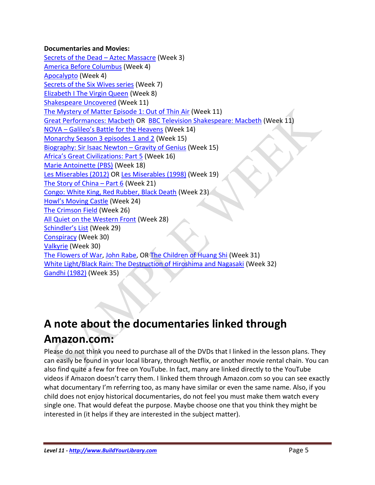### **Documentaries and Movies:**

[Secrets of the Dead](http://www.pbs.org/wnet/secrets/aztec_massacre/1/) – Aztec Massacre (Week 3) [America Before Columbus](https://amzn.to/2sRcJtj) (Week 4) [Apocalypto](https://amzn.to/2xSUlpR) (Week 4) [Secrets of the Six Wives series](https://amzn.to/2OPq66S) (Week 7) [Elizabeth I The Virgin Queen](https://amzn.to/2vXxOVh) (Week 8) [Shakespeare Uncovered](https://www.pbs.org/show/shakespeare-uncovered/) (Week 11) [The Mystery of Matter Episode 1: Out of Thin Air](https://amzn.to/2KqRRRf) (Week 11) [Great Performances: Macbeth](https://amzn.to/2tzdFUt) OR [BBC Television Shakespeare: Macbeth](https://amzn.to/2tGi8Vx) (Week 11) NOVA – Galileo'[s Battle for the Heavens](https://amzn.to/2MY5ZCN) (Week 14) [Monarchy Season 3 episodes 1 and 2](https://amzn.to/2wexkJX) (Week 15) [Biography: Sir Isaac Newton](https://amzn.to/2LreBV9) – Gravity of Genius (Week 15) [Africa's Great Civilizations: Part 5](https://amzn.to/2L91PpR) (Week 16) [Marie Antoinette \(PBS\)](https://amzn.to/2NMCDqR) (Week 18) [Les Miserables \(2012\)](https://amzn.to/2vY3NEP) OR [Les Miserables \(1998\)](https://amzn.to/2MDmXJN) (Week 19) [The Story of China](https://amzn.to/2nP7hFl) – Part 6 (Week 21) [Congo: White King, Red Rubber, Black Death](https://amzn.to/2w8zo5S) (Week 23) [Howl's Moving Castle](https://amzn.to/2vYdu6i) (Week 24) [The Crimson Field](https://amzn.to/2nSdIYi) (Week 26) [All Quiet on the Western Front](https://amzn.to/2L6QkiJ) (Week 28) [Schindler's List](https://amzn.to/2nRfZTk) (Week 29) [Conspiracy](https://amzn.to/2KC32G6) (Week 30) [Valkyrie](https://amzn.to/2M6CiCr) (Week 30) [The Flowers of War,](https://amzn.to/2vuJ37u) [John Rabe,](https://amzn.to/2KI3anr) OR [The Children of Huang Shi](https://amzn.to/2AXbEHz) (Week 31) [White Light/Black Rain: The Destruction of Hiroshima and Nagasaki](https://amzn.to/2nMGzNs) (Week 32) [Gandhi \(1982\)](https://amzn.to/2vYaQgJ) (Week 35)

## **A note about the documentaries linked through Amazon.com:**

Please do not think you need to purchase all of the DVDs that I linked in the lesson plans. They can easily be found in your local library, through Netflix, or another movie rental chain. You can also find quite a few for free on YouTube. In fact, many are linked directly to the YouTube videos if Amazon doesn't carry them. I linked them through Amazon.com so you can see exactly what documentary I'm referring too, as many have similar or even the same name. Also, if you child does not enjoy historical documentaries, do not feel you must make them watch every single one. That would defeat the purpose. Maybe choose one that you think they might be interested in (it helps if they are interested in the subject matter).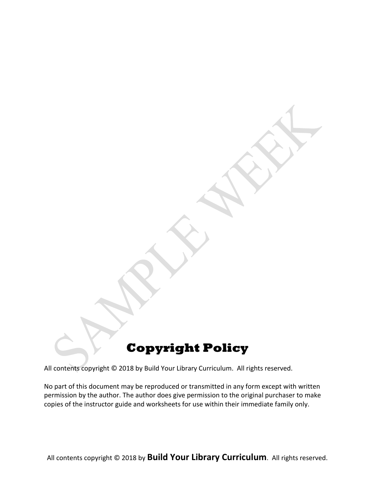## **Copyright Policy**

All contents copyright © 2018 by Build Your Library Curriculum. All rights reserved.

No part of this document may be reproduced or transmitted in any form except with written permission by the author. The author does give permission to the original purchaser to make copies of the instructor guide and worksheets for use within their immediate family only.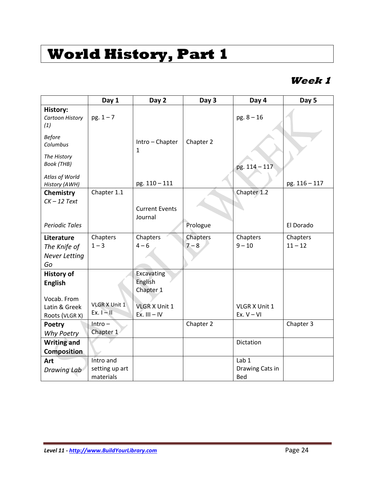## **Week 1**

|                                           | Day 1          | Day 2                            | Day 3     | Day 4           | Day 5         |
|-------------------------------------------|----------------|----------------------------------|-----------|-----------------|---------------|
| <b>History:</b><br>Cartoon History<br>(1) | $pg. 1 - 7$    |                                  |           | $pg. 8 - 16$    |               |
| <b>Before</b><br>Columbus                 |                | Intro - Chapter<br>$\mathbf{1}$  | Chapter 2 |                 |               |
| The History<br><b>Book</b> (THB)          |                |                                  |           | pg. 114 - 117   |               |
| Atlas of World<br>History (AWH)           |                | pg. 110 - 111                    |           |                 | pg. 116 - 117 |
| Chemistry                                 | Chapter 1.1    |                                  |           | Chapter 1.2     |               |
| $CK - 12$ Text                            |                | <b>Current Events</b><br>Journal |           |                 |               |
| <b>Periodic Tales</b>                     |                |                                  | Prologue  |                 | El Dorado     |
| Literature                                | Chapters       | Chapters                         | Chapters  | Chapters        | Chapters      |
| The Knife of                              | $1 - 3$        | $4 - 6$                          | $7 - 8$   | $9 - 10$        | $11 - 12$     |
| <b>Never Letting</b><br>Go                |                |                                  |           |                 |               |
| <b>History of</b>                         |                | Excavating<br>English            |           |                 |               |
| <b>English</b>                            |                | Chapter 1                        |           |                 |               |
| Vocab. From                               |                |                                  |           |                 |               |
| Latin & Greek                             | VLGR X Unit 1  | <b>VLGR X Unit 1</b>             |           | VLGR X Unit 1   |               |
| Roots (VLGR X)                            | Ex. $I - II$   | $Ex.$ $III - IV$                 |           | Ex. $V - VI$    |               |
| Poetry                                    | $Intro -$      |                                  | Chapter 2 |                 | Chapter 3     |
| Why Poetry                                | Chapter 1      |                                  |           |                 |               |
| <b>Writing and</b>                        |                |                                  |           | Dictation       |               |
| <b>Composition</b>                        |                |                                  |           |                 |               |
| Art                                       | Intro and      |                                  |           | Lab 1           |               |
| Drawing Lab                               | setting up art |                                  |           | Drawing Cats in |               |
|                                           | materials      |                                  |           | Bed             |               |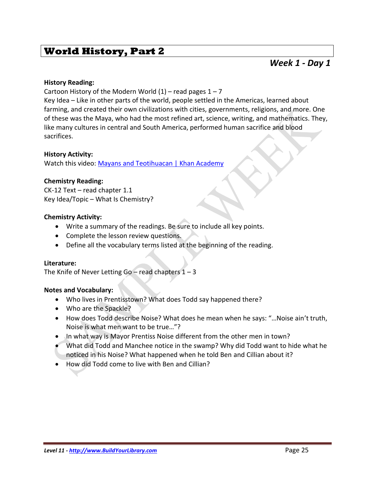### *Week 1 - Day 1*

### **History Reading:**

Cartoon History of the Modern World  $(1)$  – read pages  $1 - 7$ 

Key Idea – Like in other parts of the world, people settled in the Americas, learned about farming, and created their own civilizations with cities, governments, religions, and more. One of these was the Maya, who had the most refined art, science, writing, and mathematics. They, like many cultures in central and South America, performed human sacrifice and blood sacrifices.

### **History Activity:**

Watch this video[: Mayans and Teotihuacan | Khan Academy](https://www.youtube.com/watch?v=HPRPaTqNnZk)

### **Chemistry Reading:**

CK-12 Text – read chapter 1.1 Key Idea/Topic – What Is Chemistry?

### **Chemistry Activity:**

- Write a summary of the readings. Be sure to include all key points.
- Complete the lesson review questions.
- Define all the vocabulary terms listed at the beginning of the reading.

### **Literature:**

The Knife of Never Letting Go – read chapters  $1 - 3$ 

### **Notes and Vocabulary:**

- Who lives in Prentisstown? What does Todd say happened there?
- Who are the Spackle?
- How does Todd describe Noise? What does he mean when he says: "...Noise ain't truth, Noise is what men want to be true…"?
- In what way is Mayor Prentiss Noise different from the other men in town?
- What did Todd and Manchee notice in the swamp? Why did Todd want to hide what he noticed in his Noise? What happened when he told Ben and Cillian about it?
- How did Todd come to live with Ben and Cillian?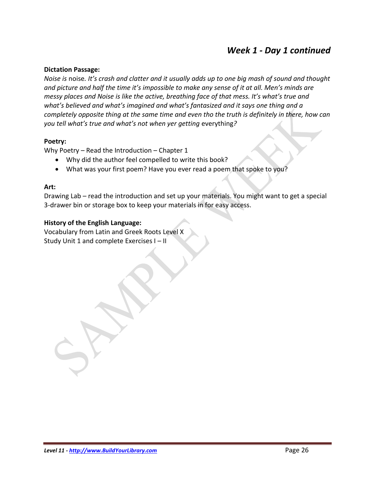## *Week 1 - Day 1 continued*

### **Dictation Passage:**

*Noise is* noise*. It's crash and clatter and it usually adds up to one big mash of sound and thought and picture and half the time it's impossible to make any sense of it at all. Men's minds are messy places and Noise is like the active, breathing face of that mess. It's what's true and what's believed and what's imagined and what's fantasized and it says one thing and a completely opposite thing at the same time and even tho the truth is definitely in there, how can you tell what's true and what's not when yer getting* everything*?* 

### **Poetry:**

Why Poetry – Read the Introduction – Chapter 1

- Why did the author feel compelled to write this book?
- What was your first poem? Have you ever read a poem that spoke to you?

### **Art:**

Drawing Lab – read the introduction and set up your materials. You might want to get a special 3-drawer bin or storage box to keep your materials in for easy access.

### **History of the English Language:**

Vocabulary from Latin and Greek Roots Level X Study Unit 1 and complete Exercises I – II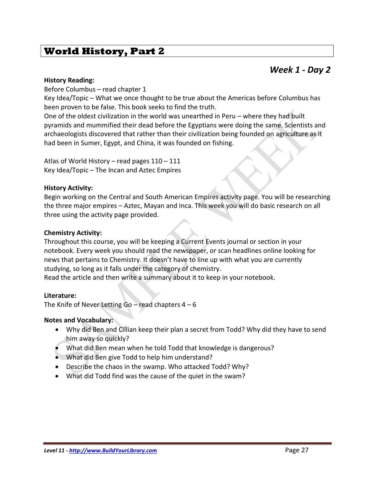### *Week 1 - Day 2*

### **History Reading:**

Before Columbus – read chapter 1

Key Idea/Topic – What we once thought to be true about the Americas before Columbus has been proven to be false. This book seeks to find the truth.

One of the oldest civilization in the world was unearthed in Peru – where they had built pyramids and mummified their dead before the Egyptians were doing the same. Scientists and archaeologists discovered that rather than their civilization being founded on agriculture as it had been in Sumer, Egypt, and China, it was founded on fishing.

Atlas of World History – read pages 110 – 111 Key Idea/Topic – The Incan and Aztec Empires

### **History Activity:**

Begin working on the Central and South American Empires activity page. You will be researching the three major empires – Aztec, Mayan and Inca. This week you will do basic research on all three using the activity page provided.

### **Chemistry Activity:**

Throughout this course, you will be keeping a Current Events journal or section in your notebook. Every week you should read the newspaper, or scan headlines online looking for news that pertains to Chemistry. It doesn't have to line up with what you are currently studying, so long as it falls under the category of chemistry.

Read the article and then write a summary about it to keep in your notebook.

### **Literature:**

The Knife of Never Letting  $Go$  – read chapters  $4 - 6$ 

### **Notes and Vocabulary:**

- Why did Ben and Cillian keep their plan a secret from Todd? Why did they have to send him away so quickly?
- What did Ben mean when he told Todd that knowledge is dangerous?
- What did Ben give Todd to help him understand?
- Describe the chaos in the swamp. Who attacked Todd? Why?
- What did Todd find was the cause of the quiet in the swam?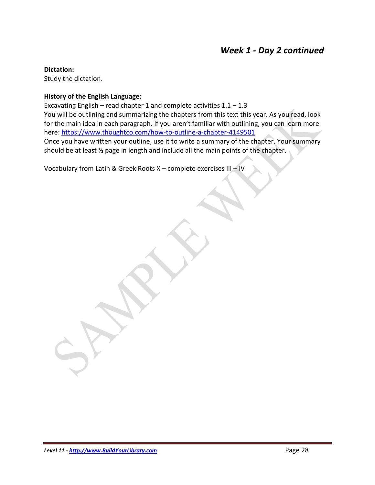## *Week 1 - Day 2 continued*

### **Dictation:**

Study the dictation.

### **History of the English Language:**

Excavating English – read chapter 1 and complete activities  $1.1 - 1.3$ You will be outlining and summarizing the chapters from this text this year. As you read, look for the main idea in each paragraph. If you aren't familiar with outlining, you can learn more here:<https://www.thoughtco.com/how-to-outline-a-chapter-4149501> Once you have written your outline, use it to write a summary of the chapter. Your summary

should be at least ½ page in length and include all the main points of the chapter.

Vocabulary from Latin & Greek Roots X – complete exercises III – IV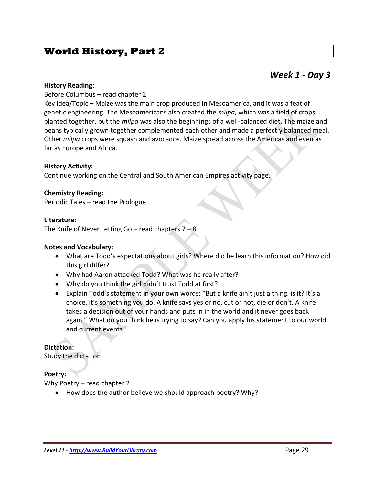### *Week 1 - Day 3*

### **History Reading:**

Before Columbus – read chapter 2

Key idea/Topic – Maize was the main crop produced in Mesoamerica, and it was a feat of genetic engineering. The Mesoamericans also created the *milpa*, which was a field of crops planted together, but the *milpa* was also the beginnings of a well-balanced diet. The maize and beans typically grown together complemented each other and made a perfectly balanced meal. Other *milpa* crops were squash and avocados. Maize spread across the Americas and even as far as Europe and Africa.

### **History Activity:**

Continue working on the Central and South American Empires activity page.

### **Chemistry Reading:**

Periodic Tales – read the Prologue

#### **Literature:**

The Knife of Never Letting Go – read chapters  $7 - 8$ 

#### **Notes and Vocabulary:**

- What are Todd's expectations about girls? Where did he learn this information? How did this girl differ?
- Why had Aaron attacked Todd? What was he really after?
- Why do you think the girl didn't trust Todd at first?
- Explain Todd's statement in your own words: "But a knife ain't just a thing, is it? It's a choice, it's something you do. A knife says yes or no, cut or not, die or don't. A knife takes a decision out of your hands and puts in in the world and it never goes back again." What do you think he is trying to say? Can you apply his statement to our world and current events?

### **Dictation:**

Study the dictation.

### **Poetry:**

Why Poetry – read chapter 2

• How does the author believe we should approach poetry? Why?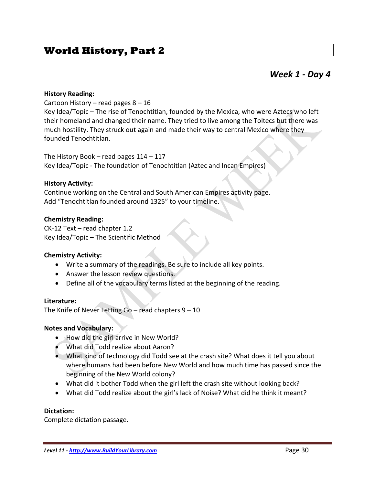### *Week 1 - Day 4*

#### **History Reading:**

Cartoon History – read pages  $8 - 16$ 

Key Idea/Topic – The rise of Tenochtitlan, founded by the Mexica, who were Aztecs who left their homeland and changed their name. They tried to live among the Toltecs but there was much hostility. They struck out again and made their way to central Mexico where they founded Tenochtitlan.

The History Book – read pages  $114 - 117$ Key Idea/Topic - The foundation of Tenochtitlan (Aztec and Incan Empires)

### **History Activity:**

Continue working on the Central and South American Empires activity page. Add "Tenochtitlan founded around 1325" to your timeline.

### **Chemistry Reading:**

CK-12 Text – read chapter 1.2 Key Idea/Topic – The Scientific Method

### **Chemistry Activity:**

- Write a summary of the readings. Be sure to include all key points.
- Answer the lesson review questions.
- Define all of the vocabulary terms listed at the beginning of the reading.

#### **Literature:**

The Knife of Never Letting Go – read chapters  $9 - 10$ 

#### **Notes and Vocabulary:**

- How did the girl arrive in New World?
- What did Todd realize about Aaron?
- What kind of technology did Todd see at the crash site? What does it tell you about where humans had been before New World and how much time has passed since the beginning of the New World colony?
- What did it bother Todd when the girl left the crash site without looking back?
- What did Todd realize about the girl's lack of Noise? What did he think it meant?

#### **Dictation:**

Complete dictation passage.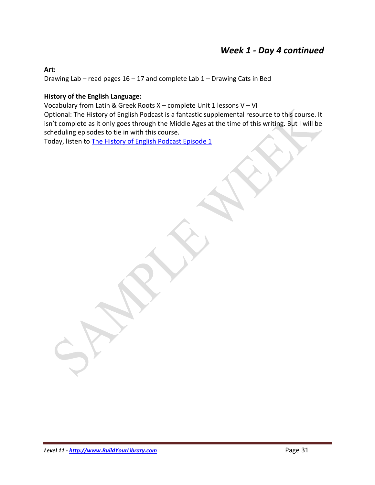## *Week 1 - Day 4 continued*

### **Art:**

Drawing Lab – read pages 16 – 17 and complete Lab 1 – Drawing Cats in Bed

### **History of the English Language:**

Vocabulary from Latin & Greek Roots X – complete Unit 1 lessons V – VI

Optional: The History of English Podcast is a fantastic supplemental resource to this course. It isn't complete as it only goes through the Middle Ages at the time of this writing. But I will be scheduling episodes to tie in with this course.

Today, listen to [The History of English Podcast Episode 1](http://historyofenglishpodcast.com/2012/06/18/episode-1-introduction/)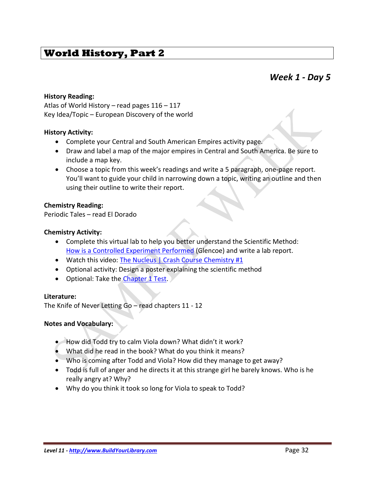### *Week 1 - Day 5*

### **History Reading:**

Atlas of World History – read pages 116 – 117 Key Idea/Topic – European Discovery of the world

#### **History Activity:**

- Complete your Central and South American Empires activity page.
- Draw and label a map of the major empires in Central and South America. Be sure to include a map key.
- Choose a topic from this week's readings and write a 5 paragraph, one-page report. You'll want to guide your child in narrowing down a topic, writing an outline and then using their outline to write their report.

### **Chemistry Reading:**

Periodic Tales – read El Dorado

### **Chemistry Activity:**

- Complete this virtual lab to help you better understand the Scientific Method: [How is a Controlled Experiment Performed](http://www.glencoe.com/sites/common_assets/science/virtual_labs/E16/E16.html) (Glencoe) and write a lab report.
- Watch this video[: The Nucleus | Crash Course Chemistry #1](https://www.youtube.com/watch?v=FSyAehMdpyI&list=PL8dPuuaLjXtPHzzYuWy6fYEaX9mQQ8oGr)
- Optional activity: Design a poster explaining the scientific method
- Optional: Take the [Chapter 1 Test.](https://www.ck12.org/quizbook/CK-12-Chemistry-Intermediate-Quizzes-and-Tests/section/1.0/)

### **Literature:**

The Knife of Never Letting Go – read chapters 11 - 12

#### **Notes and Vocabulary:**

- How did Todd try to calm Viola down? What didn't it work?
- What did he read in the book? What do you think it means?
- Who is coming after Todd and Viola? How did they manage to get away?
- Todd is full of anger and he directs it at this strange girl he barely knows. Who is he really angry at? Why?
- Why do you think it took so long for Viola to speak to Todd?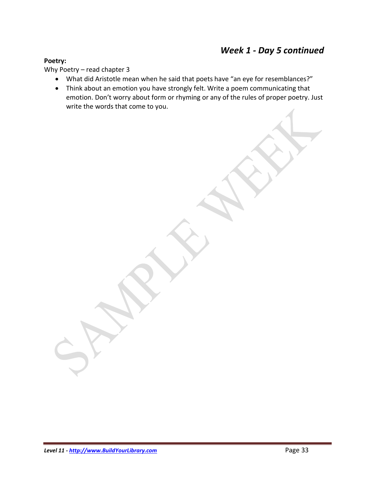### **Poetry:**

Why Poetry – read chapter 3

- What did Aristotle mean when he said that poets have "an eye for resemblances?"
- Think about an emotion you have strongly felt. Write a poem communicating that emotion. Don't worry about form or rhyming or any of the rules of proper poetry. Just write the words that come to you.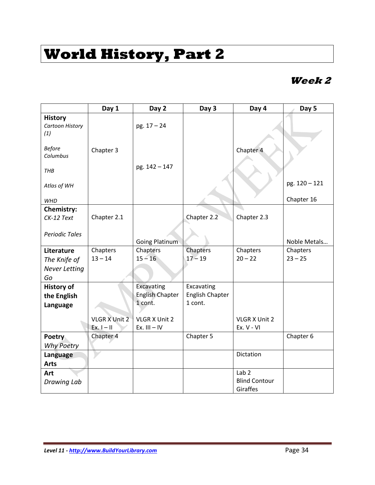## **Week 2**

|                                          | Day 1                | Day 2                      | Day 3                             | Day 4                            | Day 5         |
|------------------------------------------|----------------------|----------------------------|-----------------------------------|----------------------------------|---------------|
| <b>History</b><br>Cartoon History<br>(1) |                      | $pg. 17 - 24$              |                                   |                                  |               |
| <b>Before</b><br>Columbus                | Chapter 3            |                            |                                   | Chapter 4                        |               |
| THB                                      |                      | pg. 142 - 147              |                                   |                                  |               |
| Atlas of WH                              |                      |                            |                                   |                                  | pg. 120 - 121 |
| <b>WHD</b>                               |                      |                            |                                   |                                  | Chapter 16    |
| <b>Chemistry:</b><br>CK-12 Text          | Chapter 2.1          |                            | Chapter 2.2                       | Chapter 2.3                      |               |
|                                          |                      |                            |                                   |                                  |               |
| <b>Periodic Tales</b>                    |                      |                            |                                   |                                  |               |
|                                          |                      | <b>Going Platinum</b>      |                                   |                                  | Noble Metals  |
| Literature                               | Chapters             | Chapters                   | Chapters                          | Chapters                         | Chapters      |
| The Knife of                             | $13 - 14$            | $15 - 16$                  | $17 - 19$                         | $20 - 22$                        | $23 - 25$     |
| <b>Never Letting</b>                     |                      |                            |                                   |                                  |               |
| Go                                       |                      |                            |                                   |                                  |               |
| <b>History of</b>                        |                      | Excavating                 | Excavating                        |                                  |               |
| the English                              |                      | English Chapter<br>1 cont. | <b>English Chapter</b><br>1 cont. |                                  |               |
| Language                                 |                      |                            |                                   |                                  |               |
|                                          | <b>VLGR X Unit 2</b> | VLGR X Unit 2              |                                   | VLGR X Unit 2                    |               |
|                                          | $Ex.1 - II$          | Ex. $III - IV$             |                                   | Ex. V - VI                       |               |
| <b>Poetry</b>                            | Chapter 4            |                            | Chapter 5                         |                                  | Chapter 6     |
| <b>Why Poetry</b>                        |                      |                            |                                   |                                  |               |
| Language                                 |                      |                            |                                   | Dictation                        |               |
| <b>Arts</b>                              |                      |                            |                                   |                                  |               |
| Art                                      |                      |                            |                                   | Lab <sub>2</sub>                 |               |
| <b>Drawing Lab</b>                       |                      |                            |                                   | <b>Blind Contour</b><br>Giraffes |               |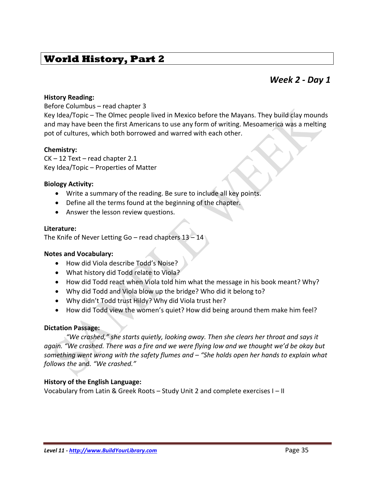### *Week 2 - Day 1*

### **History Reading:**

### Before Columbus – read chapter 3

Key Idea/Topic – The Olmec people lived in Mexico before the Mayans. They build clay mounds and may have been the first Americans to use any form of writing. Mesoamerica was a melting pot of cultures, which both borrowed and warred with each other.

### **Chemistry:**

CK – 12 Text – read chapter 2.1 Key Idea/Topic – Properties of Matter

### **Biology Activity:**

- Write a summary of the reading. Be sure to include all key points.
- Define all the terms found at the beginning of the chapter.
- Answer the lesson review questions.

### **Literature:**

The Knife of Never Letting Go – read chapters  $13 - 14$ 

### **Notes and Vocabulary:**

- How did Viola describe Todd's Noise?
- What history did Todd relate to Viola?
- How did Todd react when Viola told him what the message in his book meant? Why?
- Why did Todd and Viola blow up the bridge? Who did it belong to?
- Why didn't Todd trust Hildy? Why did Viola trust her?
- How did Todd view the women's quiet? How did being around them make him feel?

### **Dictation Passage:**

*"We crashed," she starts quietly, looking away. Then she clears her throat and says it again. "We crashed. There was a fire and we were flying low and we thought we'd be okay but something went wrong with the safety flumes and – "She holds open her hands to explain what follows the* and*. "We crashed."* 

### **History of the English Language:**

Vocabulary from Latin & Greek Roots – Study Unit 2 and complete exercises I – II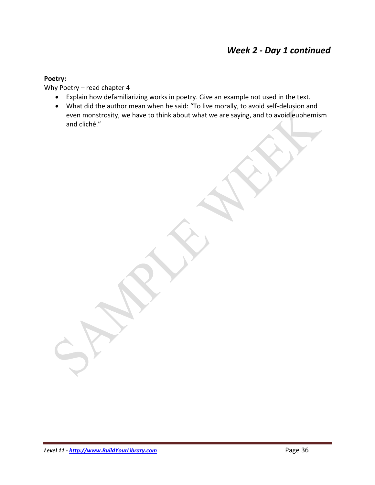## *Week 2 - Day 1 continued*

### **Poetry:**

Why Poetry – read chapter 4

- Explain how defamiliarizing works in poetry. Give an example not used in the text.
- What did the author mean when he said: "To live morally, to avoid self-delusion and even monstrosity, we have to think about what we are saying, and to avoid euphemism and cliché."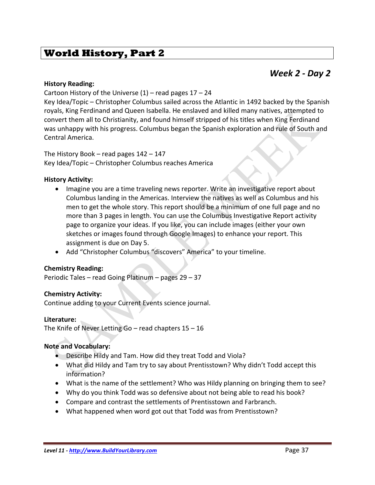## *Week 2 - Day 2*

### **History Reading:**

Cartoon History of the Universe  $(1)$  – read pages  $17 - 24$ 

Key Idea/Topic – Christopher Columbus sailed across the Atlantic in 1492 backed by the Spanish royals, King Ferdinand and Queen Isabella. He enslaved and killed many natives, attempted to convert them all to Christianity, and found himself stripped of his titles when King Ferdinand was unhappy with his progress. Columbus began the Spanish exploration and rule of South and Central America.

The History Book – read pages 142 – 147 Key Idea/Topic – Christopher Columbus reaches America

### **History Activity:**

- Imagine you are a time traveling news reporter. Write an investigative report about Columbus landing in the Americas. Interview the natives as well as Columbus and his men to get the whole story. This report should be a minimum of one full page and no more than 3 pages in length. You can use the Columbus Investigative Report activity page to organize your ideas. If you like, you can include images (either your own sketches or images found through Google Images) to enhance your report. This assignment is due on Day 5.
- Add "Christopher Columbus "discovers" America" to your timeline.

### **Chemistry Reading:**

Periodic Tales – read Going Platinum – pages 29 – 37

### **Chemistry Activity:**

Continue adding to your Current Events science journal.

### **Literature:**

The Knife of Never Letting Go – read chapters  $15 - 16$ 

### **Note and Vocabulary:**

- Describe Hildy and Tam. How did they treat Todd and Viola?
- What did Hildy and Tam try to say about Prentisstown? Why didn't Todd accept this information?
- What is the name of the settlement? Who was Hildy planning on bringing them to see?
- Why do you think Todd was so defensive about not being able to read his book?
- Compare and contrast the settlements of Prentisstown and Farbranch.
- What happened when word got out that Todd was from Prentisstown?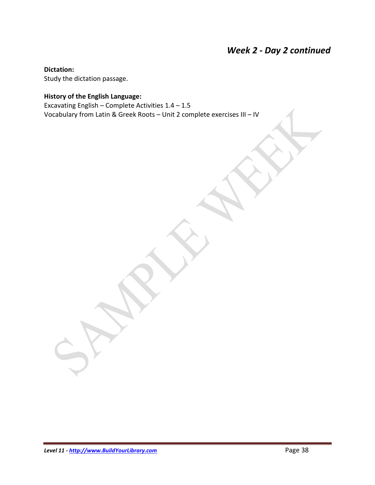## *Week 2 - Day 2 continued*

**Dictation:**

Study the dictation passage.

### **History of the English Language:**

Excavating English – Complete Activities  $1.4 - 1.5$ Vocabulary from Latin & Greek Roots – Unit 2 complete exercises III – IV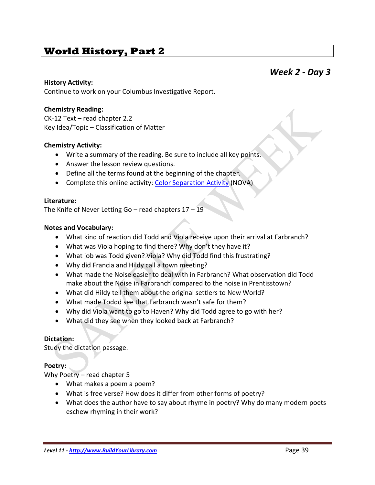### *Week 2 - Day 3*

### **History Activity:**

Continue to work on your Columbus Investigative Report.

### **Chemistry Reading:**

CK-12 Text – read chapter 2.2 Key Idea/Topic – Classification of Matter

### **Chemistry Activity:**

- Write a summary of the reading. Be sure to include all key points.
- Answer the lesson review questions.
- Define all the terms found at the beginning of the chapter.
- Complete this online activity: [Color Separation Activity](http://www.pbs.org/wgbh/nova/bombingactivity/chromatog.html) (NOVA)

### **Literature:**

The Knife of Never Letting Go – read chapters  $17 - 19$ 

### **Notes and Vocabulary:**

- What kind of reaction did Todd and Viola receive upon their arrival at Farbranch?
- What was Viola hoping to find there? Why don't they have it?
- What job was Todd given? Viola? Why did Todd find this frustrating?
- Why did Francia and Hildy call a town meeting?
- What made the Noise easier to deal with in Farbranch? What observation did Todd make about the Noise in Farbranch compared to the noise in Prentisstown?
- What did Hildy tell them about the original settlers to New World?
- What made Toddd see that Farbranch wasn't safe for them?
- Why did Viola want to go to Haven? Why did Todd agree to go with her?
- What did they see when they looked back at Farbranch?

### **Dictation:**

Study the dictation passage.

### **Poetry:**

Why Poetry – read chapter 5

- What makes a poem a poem?
- What is free verse? How does it differ from other forms of poetry?
- What does the author have to say about rhyme in poetry? Why do many modern poets eschew rhyming in their work?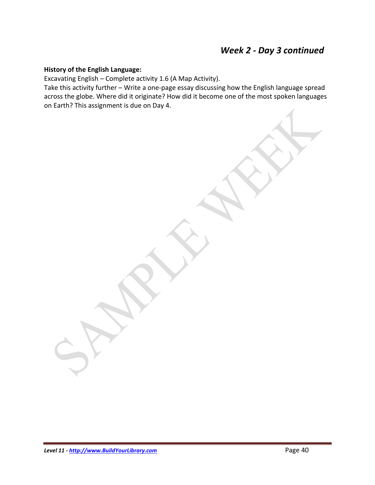### **History of the English Language:**

Excavating English – Complete activity 1.6 (A Map Activity).

Take this activity further – Write a one-page essay discussing how the English language spread across the globe. Where did it originate? How did it become one of the most spoken languages on Earth? This assignment is due on Day 4.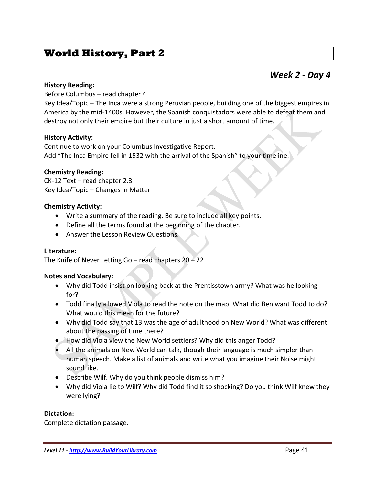### *Week 2 - Day 4*

### **History Reading:**

Before Columbus – read chapter 4

Key Idea/Topic – The Inca were a strong Peruvian people, building one of the biggest empires in America by the mid-1400s. However, the Spanish conquistadors were able to defeat them and destroy not only their empire but their culture in just a short amount of time.

### **History Activity:**

Continue to work on your Columbus Investigative Report. Add "The Inca Empire fell in 1532 with the arrival of the Spanish" to your timeline.

### **Chemistry Reading:**

CK-12 Text – read chapter 2.3 Key Idea/Topic – Changes in Matter

### **Chemistry Activity:**

- Write a summary of the reading. Be sure to include all key points.
- Define all the terms found at the beginning of the chapter.
- Answer the Lesson Review Questions.

### **Literature:**

The Knife of Never Letting Go – read chapters  $20 - 22$ 

#### **Notes and Vocabulary:**

- Why did Todd insist on looking back at the Prentisstown army? What was he looking for?
- Todd finally allowed Viola to read the note on the map. What did Ben want Todd to do? What would this mean for the future?
- Why did Todd say that 13 was the age of adulthood on New World? What was different about the passing of time there?
- How did Viola view the New World settlers? Why did this anger Todd?
- All the animals on New World can talk, though their language is much simpler than human speech. Make a list of animals and write what you imagine their Noise might sound like.
- Describe Wilf. Why do you think people dismiss him?
- Why did Viola lie to Wilf? Why did Todd find it so shocking? Do you think Wilf knew they were lying?

### **Dictation:**

Complete dictation passage.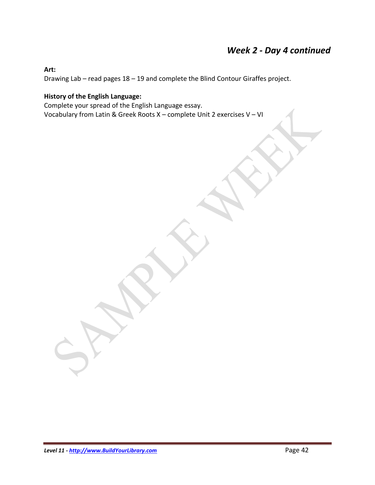## *Week 2 - Day 4 continued*

### **Art:**

Drawing Lab – read pages 18 – 19 and complete the Blind Contour Giraffes project.

### **History of the English Language:**

Complete your spread of the English Language essay. Vocabulary from Latin & Greek Roots X – complete Unit 2 exercises V – VI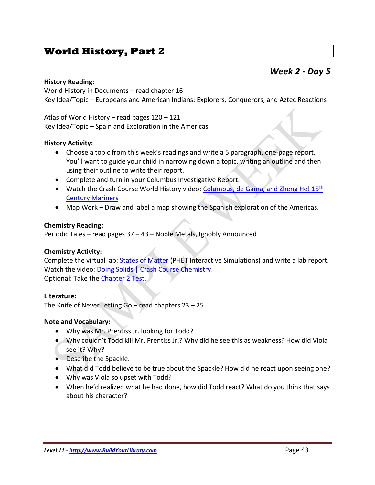### *Week 2 - Day 5*

### **History Reading:**

World History in Documents – read chapter 16 Key Idea/Topic – Europeans and American Indians: Explorers, Conquerors, and Aztec Reactions

Atlas of World History – read pages 120 – 121 Key Idea/Topic – Spain and Exploration in the Americas

### **History Activity:**

- Choose a topic from this week's readings and write a 5 paragraph, one-page report. You'll want to guide your child in narrowing down a topic, writing an outline and then using their outline to write their report.
- Complete and turn in your Columbus Investigative Report.
- Watch the Crash Course World History video: [Columbus, de Gama, and Zheng He! 15](https://www.youtube.com/watch?v=NjEGncridoQ&list=PLBDA2E52FB1EF80C9&index=21)<sup>th</sup> [Century Mariners](https://www.youtube.com/watch?v=NjEGncridoQ&list=PLBDA2E52FB1EF80C9&index=21)
- Map Work Draw and label a map showing the Spanish exploration of the Americas.

### **Chemistry Reading:**

Periodic Tales – read pages 37 – 43 – Noble Metals, Ignobly Announced

### **Chemistry Activity:**

Complete the virtual lab: [States of Matter](https://phet.colorado.edu/en/simulation/states-of-matter) (PHET Interactive Simulations) and write a lab report. Watch the video: [Doing Solids | Crash Course Chemistry.](https://www.youtube.com/watch?v=bzr-byiSXlA&index=33&list=PL8dPuuaLjXtPHzzYuWy6fYEaX9mQQ8oGr) Optional: Take the [Chapter 2 Test.](https://www.ck12.org/quizbook/CK-12-Chemistry-Intermediate-Quizzes-and-Tests/section/2.0/)

### **Literature:**

The Knife of Never Letting  $Go - read chapters 23 - 25$ 

### **Note and Vocabulary:**

- Why was Mr. Prentiss Jr. looking for Todd?
- Why couldn't Todd kill Mr. Prentiss Jr.? Why did he see this as weakness? How did Viola see it? Why?
- Describe the Spackle.
- What did Todd believe to be true about the Spackle? How did he react upon seeing one?
- Why was Viola so upset with Todd?
- When he'd realized what he had done, how did Todd react? What do you think that says about his character?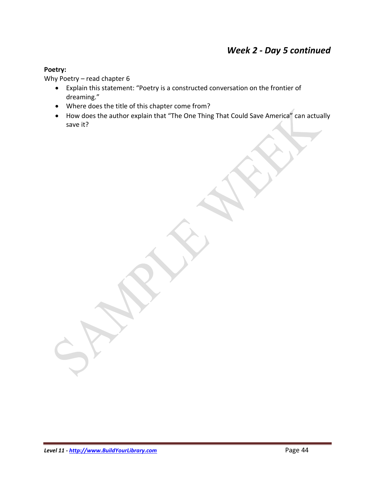## *Week 2 - Day 5 continued*

### **Poetry:**

Why Poetry – read chapter 6

- Explain this statement: "Poetry is a constructed conversation on the frontier of dreaming."
- Where does the title of this chapter come from?
- How does the author explain that "The One Thing That Could Save America" can actually save it?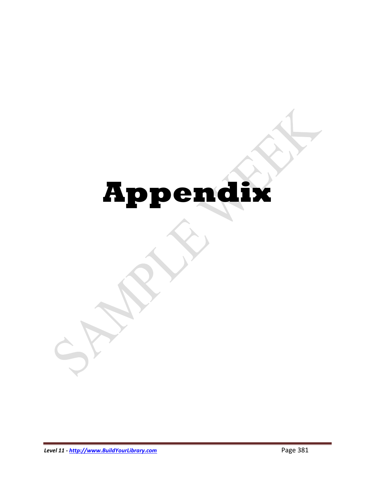# **Appendix**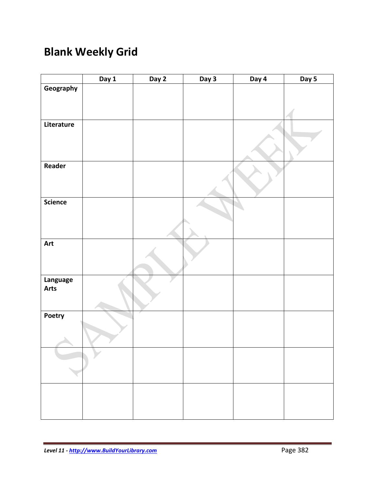## **Blank Weekly Grid**

|                                   | Day 1 | Day 2 | Day 3 | Day 4 | Day 5 |
|-----------------------------------|-------|-------|-------|-------|-------|
| Geography                         |       |       |       |       |       |
|                                   |       |       |       |       |       |
|                                   |       |       |       |       |       |
| Literature                        |       |       |       |       |       |
|                                   |       |       |       |       |       |
|                                   |       |       |       |       |       |
|                                   |       |       |       |       |       |
| Reader                            |       |       |       |       |       |
|                                   |       |       |       |       |       |
|                                   |       |       |       |       |       |
|                                   |       |       |       |       |       |
| <b>Science</b>                    |       |       |       |       |       |
|                                   |       |       |       |       |       |
|                                   |       |       |       |       |       |
|                                   |       |       |       |       |       |
| Art                               |       |       |       |       |       |
|                                   |       |       |       |       |       |
|                                   |       |       |       |       |       |
|                                   |       |       |       |       |       |
|                                   |       |       |       |       |       |
|                                   |       |       |       |       |       |
|                                   |       |       |       |       |       |
|                                   |       |       |       |       |       |
|                                   |       |       |       |       |       |
|                                   |       |       |       |       |       |
|                                   |       |       |       |       |       |
|                                   |       |       |       |       |       |
|                                   |       |       |       |       |       |
|                                   |       |       |       |       |       |
|                                   |       |       |       |       |       |
|                                   |       |       |       |       |       |
|                                   |       |       |       |       |       |
| Language<br><b>Arts</b><br>Poetry |       |       |       |       |       |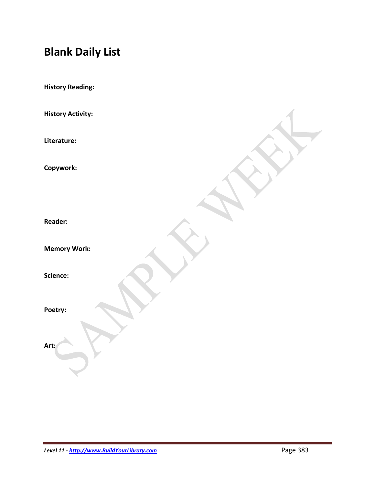## **Blank Daily List**

| <b>History Reading:</b>  |  |
|--------------------------|--|
| <b>History Activity:</b> |  |
| Literature:              |  |
| Copywork:                |  |
| <b>Reader:</b>           |  |
| <b>Memory Work:</b>      |  |
| Science:                 |  |
| Poetry:                  |  |
| Art:                     |  |